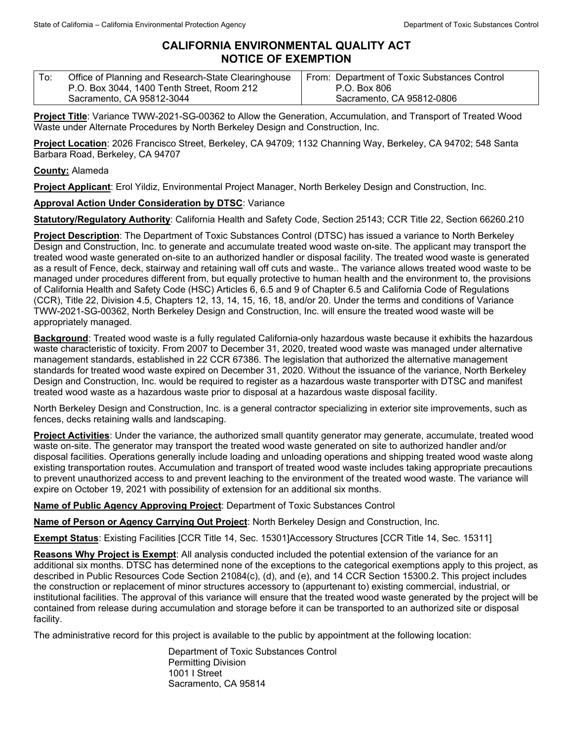## **CALIFORNIA ENVIRONMENTAL QUALITY ACT NOTICE OF EXEMPTION**

| $\mathsf{T}$ o: | Office of Planning and Research-State Clearinghouse | From: Department of Toxic Substances Control |
|-----------------|-----------------------------------------------------|----------------------------------------------|
|                 | P.O. Box 3044, 1400 Tenth Street, Room 212          | P.O. Box 806                                 |
|                 | Sacramento, CA 95812-3044                           | Sacramento, CA 95812-0806                    |

**Project Title**: Variance TWW-2021-SG-00362 to Allow the Generation, Accumulation, and Transport of Treated Wood Waste under Alternate Procedures by North Berkeley Design and Construction, Inc.

**Project Location**: 2026 Francisco Street, Berkeley, CA 94709; 1132 Channing Way, Berkeley, CA 94702; 548 Santa Barbara Road, Berkeley, CA 94707

**County:** Alameda

**Project Applicant**: Erol Yildiz, Environmental Project Manager, North Berkeley Design and Construction, Inc.

**Approval Action Under Consideration by DTSC**: Variance

**Statutory/Regulatory Authority**: California Health and Safety Code, Section 25143; CCR Title 22, Section 66260.210

**Project Description**: The Department of Toxic Substances Control (DTSC) has issued a variance to North Berkeley Design and Construction, Inc. to generate and accumulate treated wood waste on-site. The applicant may transport the treated wood waste generated on-site to an authorized handler or disposal facility. The treated wood waste is generated as a result of Fence, deck, stairway and retaining wall off cuts and waste.. The variance allows treated wood waste to be managed under procedures different from, but equally protective to human health and the environment to, the provisions of California Health and Safety Code (HSC) Articles 6, 6.5 and 9 of Chapter 6.5 and California Code of Regulations (CCR), Title 22, Division 4.5, Chapters 12, 13, 14, 15, 16, 18, and/or 20. Under the terms and conditions of Variance TWW-2021-SG-00362, North Berkeley Design and Construction, Inc. will ensure the treated wood waste will be appropriately managed.

**Background**: Treated wood waste is a fully regulated California-only hazardous waste because it exhibits the hazardous waste characteristic of toxicity. From 2007 to December 31, 2020, treated wood waste was managed under alternative management standards, established in 22 CCR 67386. The legislation that authorized the alternative management standards for treated wood waste expired on December 31, 2020. Without the issuance of the variance, North Berkeley Design and Construction, Inc. would be required to register as a hazardous waste transporter with DTSC and manifest treated wood waste as a hazardous waste prior to disposal at a hazardous waste disposal facility.

North Berkeley Design and Construction, Inc. is a general contractor specializing in exterior site improvements, such as fences, decks retaining walls and landscaping.

Project Activities: Under the variance, the authorized small quantity generator may generate, accumulate, treated wood waste on-site. The generator may transport the treated wood waste generated on site to authorized handler and/or disposal facilities. Operations generally include loading and unloading operations and shipping treated wood waste along existing transportation routes. Accumulation and transport of treated wood waste includes taking appropriate precautions to prevent unauthorized access to and prevent leaching to the environment of the treated wood waste. The variance will expire on October 19, 2021 with possibility of extension for an additional six months.

**Name of Public Agency Approving Project**: Department of Toxic Substances Control

**Name of Person or Agency Carrying Out Project**: North Berkeley Design and Construction, Inc.

**Exempt Status**: Existing Facilities [CCR Title 14, Sec. 15301]Accessory Structures [CCR Title 14, Sec. 15311]

**Reasons Why Project is Exempt**: All analysis conducted included the potential extension of the variance for an additional six months. DTSC has determined none of the exceptions to the categorical exemptions apply to this project, as described in Public Resources Code Section 21084(c), (d), and (e), and 14 CCR Section 15300.2. This project includes the construction or replacement of minor structures accessory to (appurtenant to) existing commercial, industrial, or institutional facilities. The approval of this variance will ensure that the treated wood waste generated by the project will be contained from release during accumulation and storage before it can be transported to an authorized site or disposal facility.

The administrative record for this project is available to the public by appointment at the following location:

Department of Toxic Substances Control Permitting Division 1001 I Street Sacramento, CA 95814